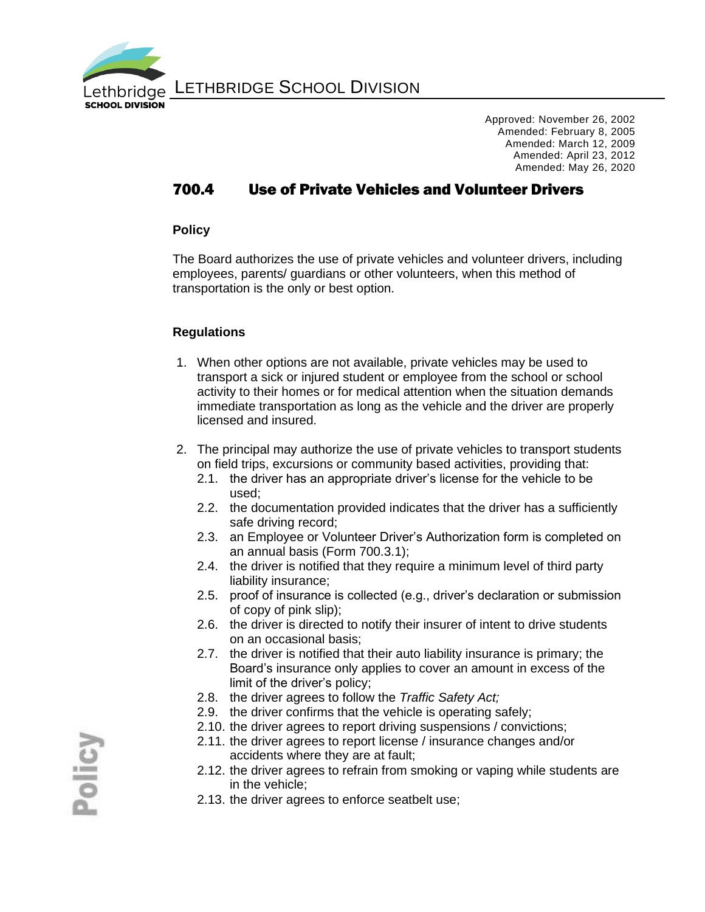

LETHBRIDGE SCHOOL DIVISION

Approved: November 26, 2002 Amended: February 8, 2005 Amended: March 12, 2009 Amended: April 23, 2012 Amended: May 26, 2020

## 700.4 Use of Private Vehicles and Volunteer Drivers

#### **Policy**

The Board authorizes the use of private vehicles and volunteer drivers, including employees, parents/ guardians or other volunteers, when this method of transportation is the only or best option.

### **Regulations**

- 1. When other options are not available, private vehicles may be used to transport a sick or injured student or employee from the school or school activity to their homes or for medical attention when the situation demands immediate transportation as long as the vehicle and the driver are properly licensed and insured.
- 2. The principal may authorize the use of private vehicles to transport students on field trips, excursions or community based activities, providing that:
	- 2.1. the driver has an appropriate driver's license for the vehicle to be used;
	- 2.2. the documentation provided indicates that the driver has a sufficiently safe driving record;
	- 2.3. an Employee or Volunteer Driver's Authorization form is completed on an annual basis (Form 700.3.1);
	- 2.4. the driver is notified that they require a minimum level of third party liability insurance;
	- 2.5. proof of insurance is collected (e.g., driver's declaration or submission of copy of pink slip);
	- 2.6. the driver is directed to notify their insurer of intent to drive students on an occasional basis;
	- 2.7. the driver is notified that their auto liability insurance is primary; the Board's insurance only applies to cover an amount in excess of the limit of the driver's policy;
	- 2.8. the driver agrees to follow the *Traffic Safety Act;*
	- 2.9. the driver confirms that the vehicle is operating safely;
	- 2.10. the driver agrees to report driving suspensions / convictions;
	- 2.11. the driver agrees to report license / insurance changes and/or accidents where they are at fault;
	- 2.12. the driver agrees to refrain from smoking or vaping while students are in the vehicle;
	- 2.13. the driver agrees to enforce seatbelt use;